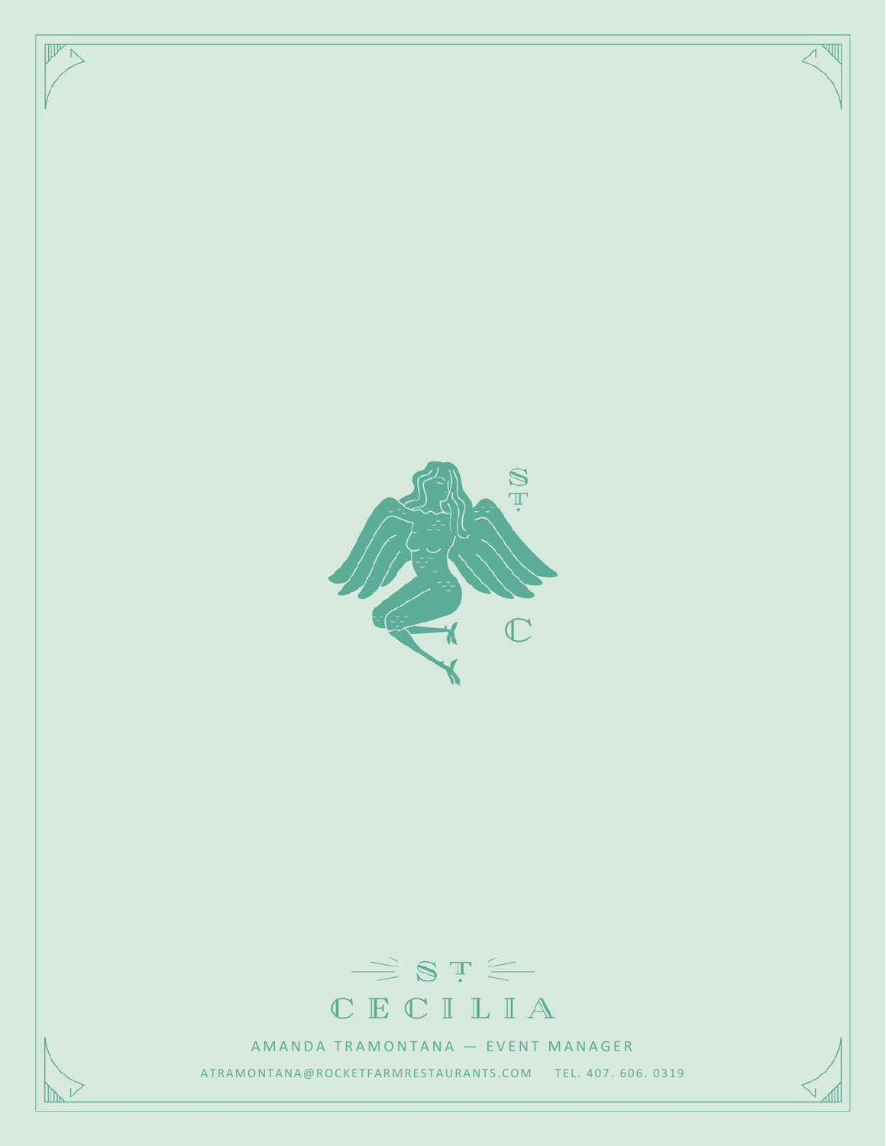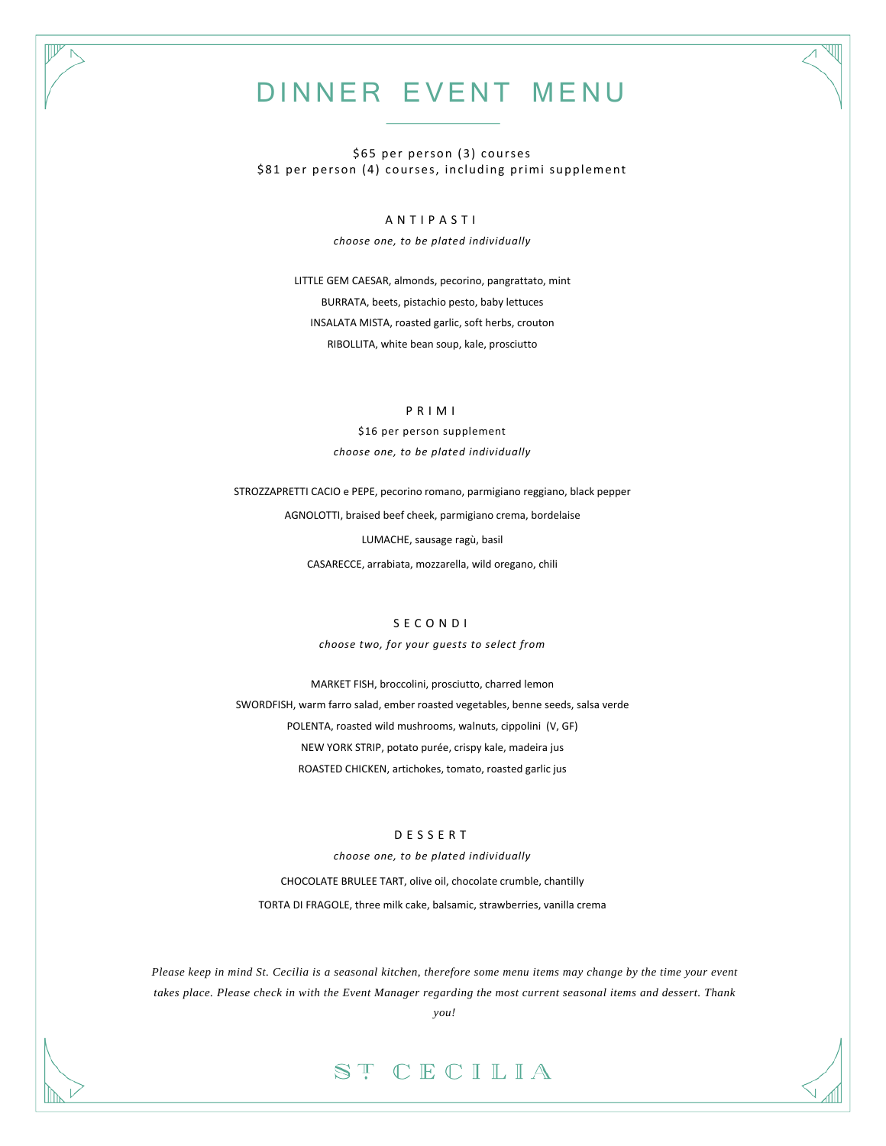## DINNER EVENT MENU

\$65 per person (3) courses \$81 per person (4) courses, including primi supplement

#### ANTIPASTI

*choose one, to be plated individually*

LITTLE GEM CAESAR, almonds, pecorino, pangrattato, mint BURRATA, beets, pistachio pesto, baby lettuces INSALATA MISTA, roasted garlic, soft herbs, crouton RIBOLLITA, white bean soup, kale, prosciutto

#### PRIMI

\$16 per person supplement *choose one, to be plated individually*

STROZZAPRETTI CACIO e PEPE, pecorino romano, parmigiano reggiano, black pepper AGNOLOTTI, braised beef cheek, parmigiano crema, bordelaise LUMACHE, sausage ragù, basil CASARECCE, arrabiata, mozzarella, wild oregano, chili

#### SECONDI

*choose two, for your guests to select from*

MARKET FISH, broccolini, prosciutto, charred lemon SWORDFISH, warm farro salad, ember roasted vegetables, benne seeds, salsa verde POLENTA, roasted wild mushrooms, walnuts, cippolini (V, GF) NEW YORK STRIP, potato purée, crispy kale, madeira jus ROASTED CHICKEN, artichokes, tomato, roasted garlic jus

#### DESSERT

*choose one, to be plated individually* CHOCOLATE BRULEE TART, olive oil, chocolate crumble, chantilly TORTA DI FRAGOLE, three milk cake, balsamic, strawberries, vanilla crema

*Please keep in mind St. Cecilia is a seasonal kitchen, therefore some menu items may change by the time your event takes place. Please check in with the Event Manager regarding the most current seasonal items and dessert. Thank* 

*you!* 

### ST CECILIA